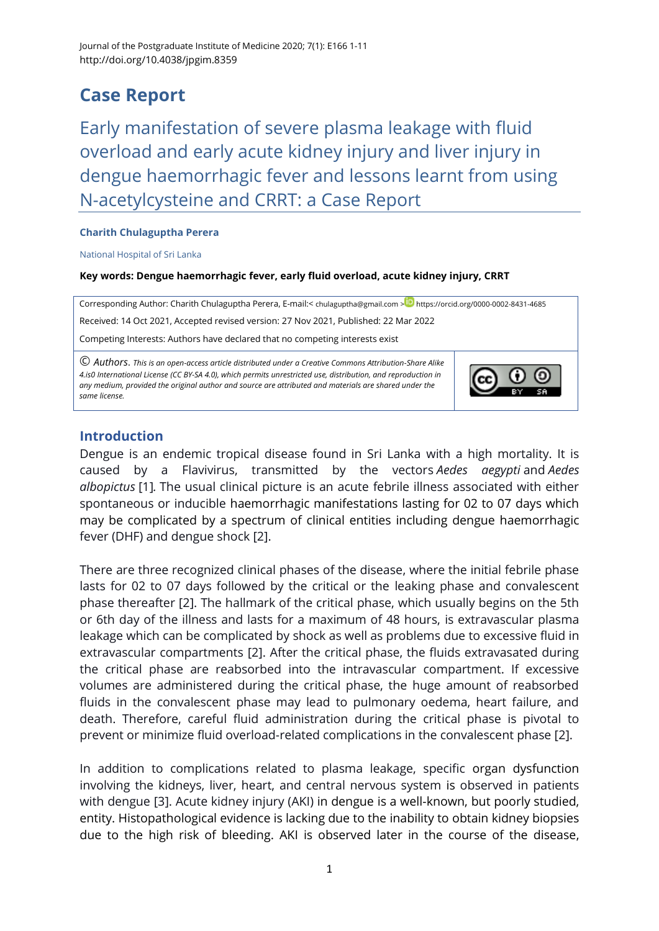# **Case Report**

Early manifestation of severe plasma leakage with fluid overload and early acute kidney injury and liver injury in dengue haemorrhagic fever and lessons learnt from using N-acetylcysteine and CRRT: a Case Report

#### **Charith Chulaguptha Perera**

National Hospital of Sri Lanka

#### **Key words: Dengue haemorrhagic fever, early fluid overload, acute kidney injury, CRRT**

Corresponding Author: Charith Chulaguptha Perera, E-mail:< [chulaguptha@gmail.com](mailto:chulaguptha@gmail.com) > D <https://orcid.org/0000-0002-8431-4685> Received: 14 Oct 2021, Accepted revised version: 27 Nov 2021, Published: 22 Mar 2022 Competing Interests: Authors have declared that no competing interests exist © *Authors*. *This is an open-access article distributed under a [Creative Commons Attribution-Share Alike](http://creativecommons.org/licenses/by-sa/4.0/)* 

*[4.is0 International License](http://creativecommons.org/licenses/by-sa/4.0/) (CC BY-SA 4.0), which permits unrestricted use, distribution, and reproduction in any medium, provided the original author and source are attributed and materials are shared under the same license.* 



# **Introduction**

Dengue is an endemic tropical disease found in Sri Lanka with a high mortality. It is caused by a Flavivirus, transmitted by the vectors *Aedes aegypti* and *Aedes albopictus* [\[1\]](#page-9-0)*.* The usual clinical picture is an acute febrile illness associated with either spontaneous or inducible haemorrhagic manifestations lasting for 02 to 07 days which may be complicated by a spectrum of clinical entities including dengue haemorrhagic fever (DHF) and dengue shock [\[2\]](#page-9-1).

There are three recognized clinical phases of the disease, where the initial febrile phase lasts for 02 to 07 days followed by the critical or the leaking phase and convalescent phase thereafter [\[2\]](#page-9-1). The hallmark of the critical phase, which usually begins on the 5th or 6th day of the illness and lasts for a maximum of 48 hours, is extravascular plasma leakage which can be complicated by shock as well as problems due to excessive fluid in extravascular compartments [\[2\]](#page-9-1). After the critical phase, the fluids extravasated during the critical phase are reabsorbed into the intravascular compartment. If excessive volumes are administered during the critical phase, the huge amount of reabsorbed fluids in the convalescent phase may lead to pulmonary oedema, heart failure, and death. Therefore, careful fluid administration during the critical phase is pivotal to prevent or minimize fluid overload-related complications in the convalescent phase [\[2\]](#page-9-1).

In addition to complications related to plasma leakage, specific organ dysfunction involving the kidneys, liver, heart, and central nervous system is observed in patients with dengue [\[3\]](#page-9-2). Acute kidney injury (AKI) in dengue is a well-known, but poorly studied, entity. Histopathological evidence is lacking due to the inability to obtain kidney biopsies due to the high risk of bleeding. AKI is observed later in the course of the disease,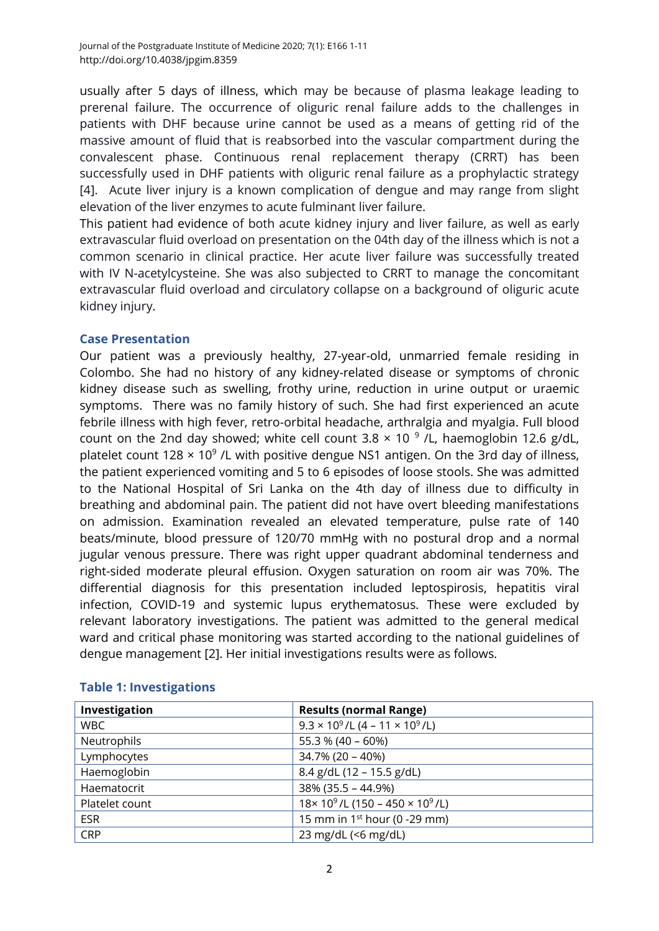usually after 5 days of illness, which may be because of plasma leakage leading to prerenal failure. The occurrence of oliguric renal failure adds to the challenges in patients with DHF because urine cannot be used as a means of getting rid of the massive amount of fluid that is reabsorbed into the vascular compartment during the convalescent phase. Continuous renal replacement therapy (CRRT) has been successfully used in DHF patients with oliguric renal failure as a prophylactic strategy [\[4\]](#page-9-3). Acute liver injury is a known complication of dengue and may range from slight elevation of the liver enzymes to acute fulminant liver failure.

This patient had evidence of both acute kidney injury and liver failure, as well as early extravascular fluid overload on presentation on the 04th day of the illness which is not a common scenario in clinical practice. Her acute liver failure was successfully treated with IV N-acetylcysteine. She was also subjected to CRRT to manage the concomitant extravascular fluid overload and circulatory collapse on a background of oliguric acute kidney injury.

## **Case Presentation**

Our patient was a previously healthy, 27-year-old, unmarried female residing in Colombo. She had no history of any kidney-related disease or symptoms of chronic kidney disease such as swelling, frothy urine, reduction in urine output or uraemic symptoms. There was no family history of such. She had first experienced an acute febrile illness with high fever, retro-orbital headache, arthralgia and myalgia. Full blood count on the 2nd day showed; white cell count  $3.8 \times 10^{-9}$  /L, haemoglobin 12.6 g/dL, platelet count 128  $\times$  10<sup>9</sup> /L with positive dengue NS1 antigen. On the 3rd day of illness, the patient experienced vomiting and 5 to 6 episodes of loose stools. She was admitted to the National Hospital of Sri Lanka on the 4th day of illness due to difficulty in breathing and abdominal pain. The patient did not have overt bleeding manifestations on admission. Examination revealed an elevated temperature, pulse rate of 140 beats/minute, blood pressure of 120/70 mmHg with no postural drop and a normal jugular venous pressure. There was right upper quadrant abdominal tenderness and right-sided moderate pleural effusion. Oxygen saturation on room air was 70%. The differential diagnosis for this presentation included leptospirosis, hepatitis viral infection, COVID-19 and systemic lupus erythematosus. These were excluded by relevant laboratory investigations. The patient was admitted to the general medical ward and critical phase monitoring was started according to the national guidelines of dengue management [\[2\]](#page-9-1). Her initial investigations results were as follows.

| Investigation  | <b>Results (normal Range)</b>                    |
|----------------|--------------------------------------------------|
| <b>WBC</b>     | $9.3 \times 10^9$ /L (4 – 11 $\times 10^9$ /L)   |
| Neutrophils    | 55.3 % (40 - 60%)                                |
| Lymphocytes    | $34.7\%$ (20 - 40%)                              |
| Haemoglobin    | 8.4 g/dL (12 - 15.5 g/dL)                        |
| Haematocrit    | $38\%$ (35.5 - 44.9%)                            |
| Platelet count | $18 \times 10^9$ /L (150 - 450 $\times 10^9$ /L) |
| <b>ESR</b>     | 15 mm in $1st$ hour (0 -29 mm)                   |
| <b>CRP</b>     | 23 mg/dL (<6 mg/dL)                              |

# **Table 1: Investigations**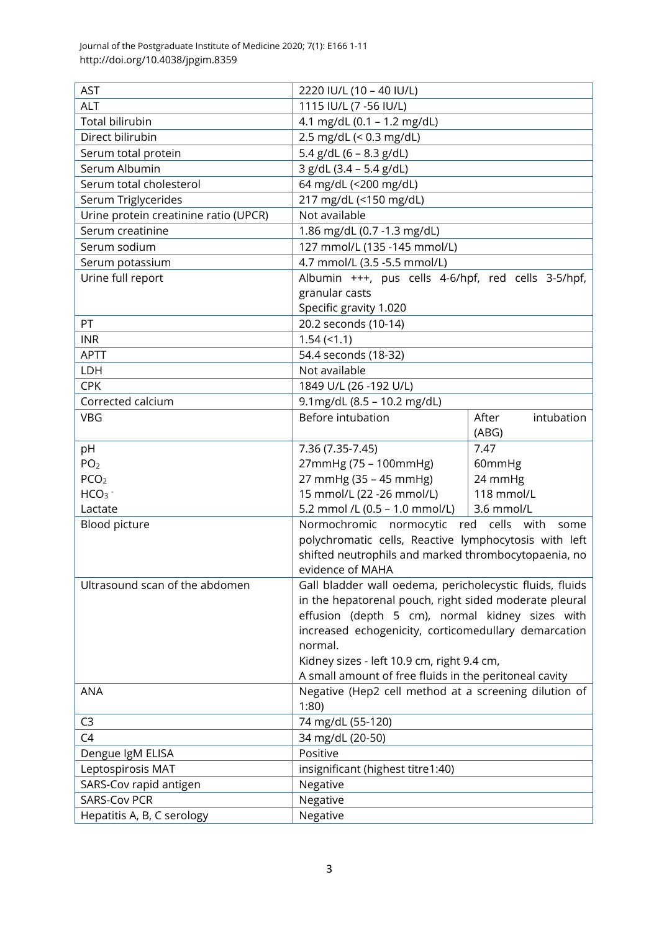Journal of the Postgraduate Institute of Medicine 2020; 7(1): E166 1-11 http://doi.org/10.4038/jpgim.8359

| <b>AST</b>                            | 2220 IU/L (10 - 40 IU/L)                                 |                     |  |
|---------------------------------------|----------------------------------------------------------|---------------------|--|
| <b>ALT</b>                            | 1115 IU/L (7 -56 IU/L)                                   |                     |  |
| <b>Total bilirubin</b>                | 4.1 mg/dL (0.1 - 1.2 mg/dL)                              |                     |  |
| Direct bilirubin                      | 2.5 mg/dL (< 0.3 mg/dL)                                  |                     |  |
| Serum total protein                   | 5.4 $g/dL$ (6 – 8.3 $g/dL$ )                             |                     |  |
| Serum Albumin                         | 3 g/dL (3.4 - 5.4 g/dL)                                  |                     |  |
| Serum total cholesterol               | 64 mg/dL (<200 mg/dL)                                    |                     |  |
| Serum Triglycerides                   | 217 mg/dL (<150 mg/dL)                                   |                     |  |
| Urine protein creatinine ratio (UPCR) | Not available                                            |                     |  |
| Serum creatinine                      | 1.86 mg/dL (0.7 -1.3 mg/dL)                              |                     |  |
| Serum sodium                          | 127 mmol/L (135 -145 mmol/L)                             |                     |  |
| Serum potassium                       | 4.7 mmol/L (3.5 -5.5 mmol/L)                             |                     |  |
| Urine full report                     | Albumin +++, pus cells 4-6/hpf, red cells 3-5/hpf,       |                     |  |
|                                       | granular casts                                           |                     |  |
|                                       | Specific gravity 1.020                                   |                     |  |
| PT                                    | 20.2 seconds (10-14)                                     |                     |  |
| <b>INR</b>                            | $1.54 \left( \le 1.1 \right)$                            |                     |  |
| <b>APTT</b>                           | 54.4 seconds (18-32)                                     |                     |  |
| LDH                                   | Not available                                            |                     |  |
| <b>CPK</b>                            | 1849 U/L (26 - 192 U/L)                                  |                     |  |
| Corrected calcium                     | 9.1mg/dL (8.5 - 10.2 mg/dL)                              |                     |  |
| <b>VBG</b>                            | Before intubation                                        | After<br>intubation |  |
|                                       |                                                          | (ABG)               |  |
| pH                                    | 7.36 (7.35-7.45)                                         | 7.47                |  |
| PO <sub>2</sub>                       | 27mmHg (75 - 100mmHg)                                    | 60mmHg              |  |
| PCO <sub>2</sub>                      | 27 mmHg (35 - 45 mmHg)                                   | 24 mmHg             |  |
| HCO <sub>3</sub>                      | 15 mmol/L (22 -26 mmol/L)                                | 118 mmol/L          |  |
| Lactate                               | 5.2 mmol /L (0.5 - 1.0 mmol/L)<br>3.6 mmol/L             |                     |  |
| Blood picture                         | red cells with<br>Normochromic normocytic<br>some        |                     |  |
|                                       | polychromatic cells, Reactive lymphocytosis with left    |                     |  |
|                                       | shifted neutrophils and marked thrombocytopaenia, no     |                     |  |
|                                       | evidence of MAHA                                         |                     |  |
| Ultrasound scan of the abdomen        | Gall bladder wall oedema, pericholecystic fluids, fluids |                     |  |
|                                       | in the hepatorenal pouch, right sided moderate pleural   |                     |  |
|                                       | effusion (depth 5 cm), normal kidney sizes with          |                     |  |
|                                       | increased echogenicity, corticomedullary demarcation     |                     |  |
|                                       | normal.                                                  |                     |  |
|                                       | Kidney sizes - left 10.9 cm, right 9.4 cm,               |                     |  |
|                                       | A small amount of free fluids in the peritoneal cavity   |                     |  |
| <b>ANA</b>                            | Negative (Hep2 cell method at a screening dilution of    |                     |  |
|                                       | 1:80                                                     |                     |  |
| C <sub>3</sub>                        | 74 mg/dL (55-120)                                        |                     |  |
| C <sub>4</sub>                        | 34 mg/dL (20-50)                                         |                     |  |
| Dengue IgM ELISA                      | Positive                                                 |                     |  |
| Leptospirosis MAT                     | insignificant (highest titre1:40)                        |                     |  |
| SARS-Cov rapid antigen                | Negative                                                 |                     |  |
| <b>SARS-Cov PCR</b>                   | Negative                                                 |                     |  |
| Hepatitis A, B, C serology            | Negative                                                 |                     |  |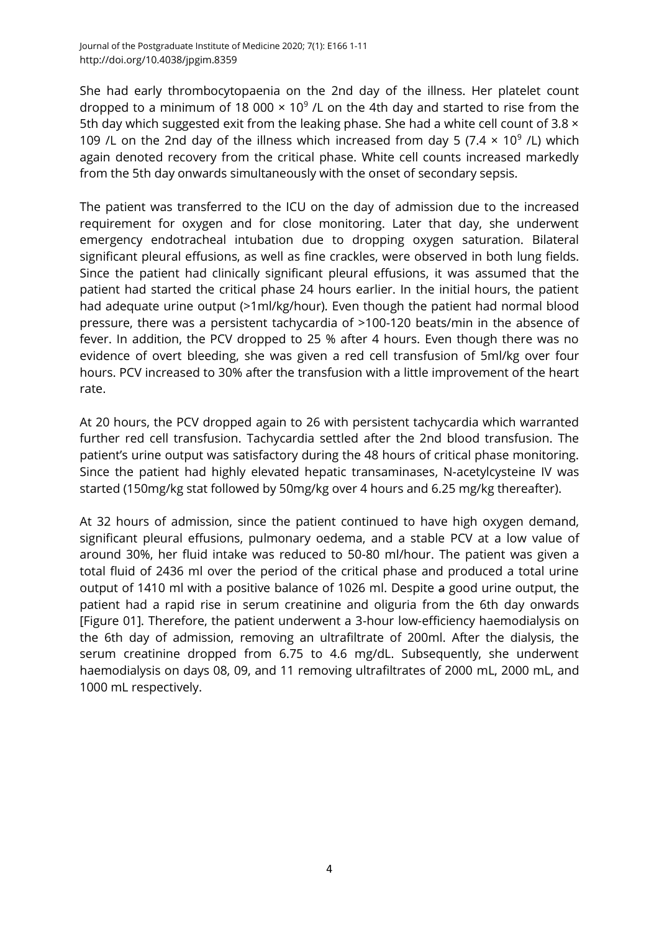She had early thrombocytopaenia on the 2nd day of the illness. Her platelet count dropped to a minimum of 18 000  $\times$  10<sup>9</sup> /L on the 4th day and started to rise from the 5th day which suggested exit from the leaking phase. She had a white cell count of 3.8  $\times$ 109 /L on the 2nd day of the illness which increased from day 5 (7.4  $\times$  10<sup>9</sup> /L) which again denoted recovery from the critical phase. White cell counts increased markedly from the 5th day onwards simultaneously with the onset of secondary sepsis.

The patient was transferred to the ICU on the day of admission due to the increased requirement for oxygen and for close monitoring. Later that day, she underwent emergency endotracheal intubation due to dropping oxygen saturation. Bilateral significant pleural effusions, as well as fine crackles, were observed in both lung fields. Since the patient had clinically significant pleural effusions, it was assumed that the patient had started the critical phase 24 hours earlier. In the initial hours, the patient had adequate urine output (>1ml/kg/hour). Even though the patient had normal blood pressure, there was a persistent tachycardia of >100-120 beats/min in the absence of fever. In addition, the PCV dropped to 25 % after 4 hours. Even though there was no evidence of overt bleeding, she was given a red cell transfusion of 5ml/kg over four hours. PCV increased to 30% after the transfusion with a little improvement of the heart rate.

At 20 hours, the PCV dropped again to 26 with persistent tachycardia which warranted further red cell transfusion. Tachycardia settled after the 2nd blood transfusion. The patient's urine output was satisfactory during the 48 hours of critical phase monitoring. Since the patient had highly elevated hepatic transaminases, N-acetylcysteine IV was started (150mg/kg stat followed by 50mg/kg over 4 hours and 6.25 mg/kg thereafter).

At 32 hours of admission, since the patient continued to have high oxygen demand, significant pleural effusions, pulmonary oedema, and a stable PCV at a low value of around 30%, her fluid intake was reduced to 50-80 ml/hour. The patient was given a total fluid of 2436 ml over the period of the critical phase and produced a total urine output of 1410 ml with a positive balance of 1026 ml. Despite a good urine output, the patient had a rapid rise in serum creatinine and oliguria from the 6th day onwards [Figure 01]. Therefore, the patient underwent a 3-hour low-efficiency haemodialysis on the 6th day of admission, removing an ultrafiltrate of 200ml. After the dialysis, the serum creatinine dropped from 6.75 to 4.6 mg/dL. Subsequently, she underwent haemodialysis on days 08, 09, and 11 removing ultrafiltrates of 2000 mL, 2000 mL, and 1000 mL respectively.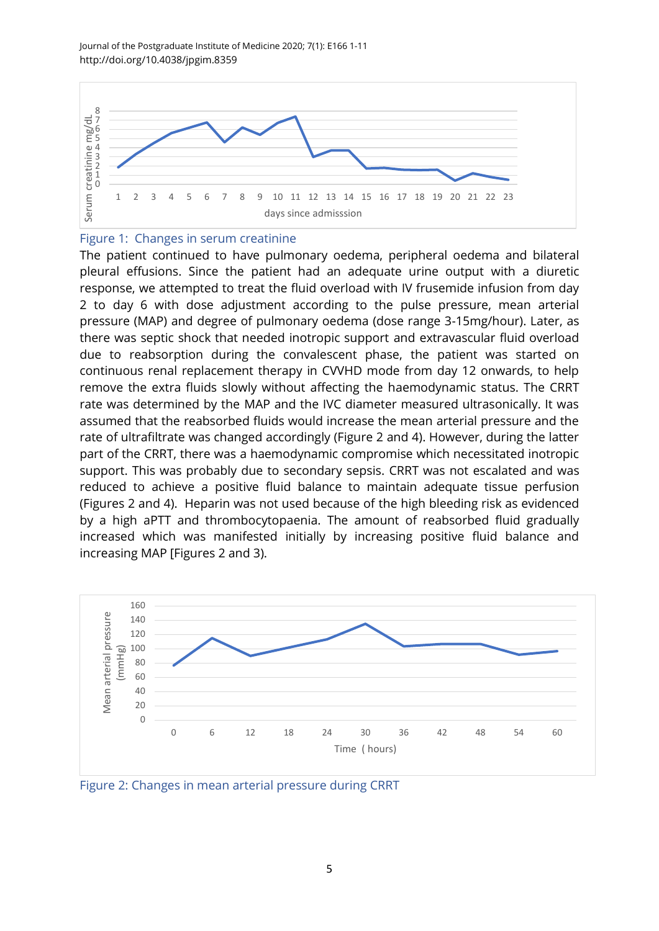

#### Figure 1: Changes in serum creatinine

The patient continued to have pulmonary oedema, peripheral oedema and bilateral pleural effusions. Since the patient had an adequate urine output with a diuretic response, we attempted to treat the fluid overload with IV frusemide infusion from day 2 to day 6 with dose adjustment according to the pulse pressure, mean arterial pressure (MAP) and degree of pulmonary oedema (dose range 3-15mg/hour). Later, as there was septic shock that needed inotropic support and extravascular fluid overload due to reabsorption during the convalescent phase, the patient was started on continuous renal replacement therapy in CVVHD mode from day 12 onwards, to help remove the extra fluids slowly without affecting the haemodynamic status. The CRRT rate was determined by the MAP and the IVC diameter measured ultrasonically. It was assumed that the reabsorbed fluids would increase the mean arterial pressure and the rate of ultrafiltrate was changed accordingly (Figure 2 and 4). However, during the latter part of the CRRT, there was a haemodynamic compromise which necessitated inotropic support. This was probably due to secondary sepsis. CRRT was not escalated and was reduced to achieve a positive fluid balance to maintain adequate tissue perfusion (Figures 2 and 4). Heparin was not used because of the high bleeding risk as evidenced by a high aPTT and thrombocytopaenia. The amount of reabsorbed fluid gradually increased which was manifested initially by increasing positive fluid balance and increasing MAP [Figures 2 and 3).



Figure 2: Changes in mean arterial pressure during CRRT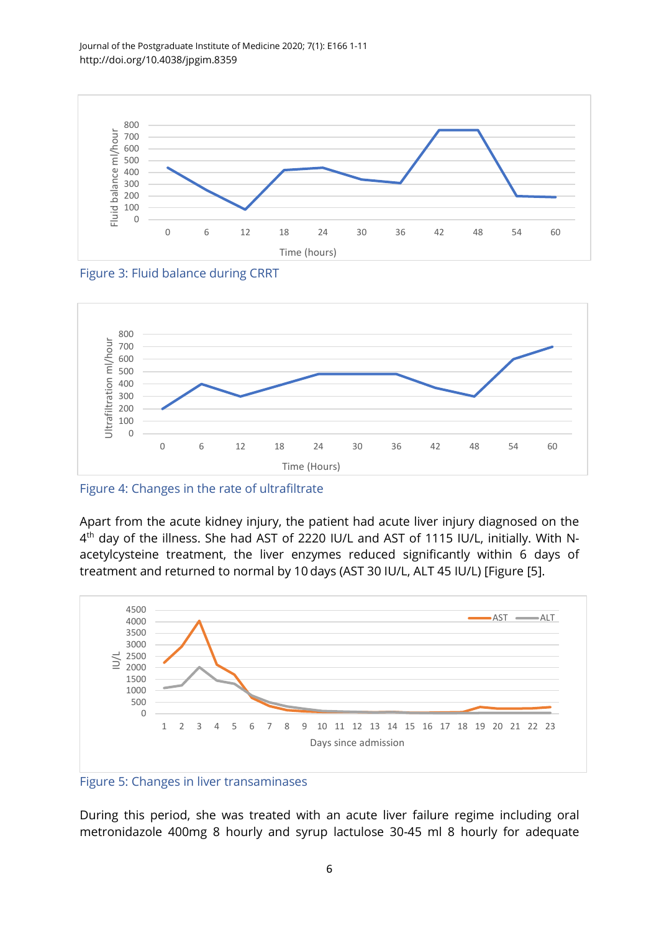Journal of the Postgraduate Institute of Medicine 2020; 7(1): E166 1-11 http://doi.org/10.4038/jpgim.8359







Figure 4: Changes in the rate of ultrafiltrate

Apart from the acute kidney injury, the patient had acute liver injury diagnosed on the 4<sup>th</sup> day of the illness. She had AST of 2220 IU/L and AST of 1115 IU/L, initially. With Nacetylcysteine treatment, the liver enzymes reduced significantly within 6 days of treatment and returned to normal by 10 days (AST 30 IU/L, ALT 45 IU/L) [Figure [\[5\]](#page-9-4).



Figure 5: Changes in liver transaminases

During this period, she was treated with an acute liver failure regime including oral metronidazole 400mg 8 hourly and syrup lactulose 30-45 ml 8 hourly for adequate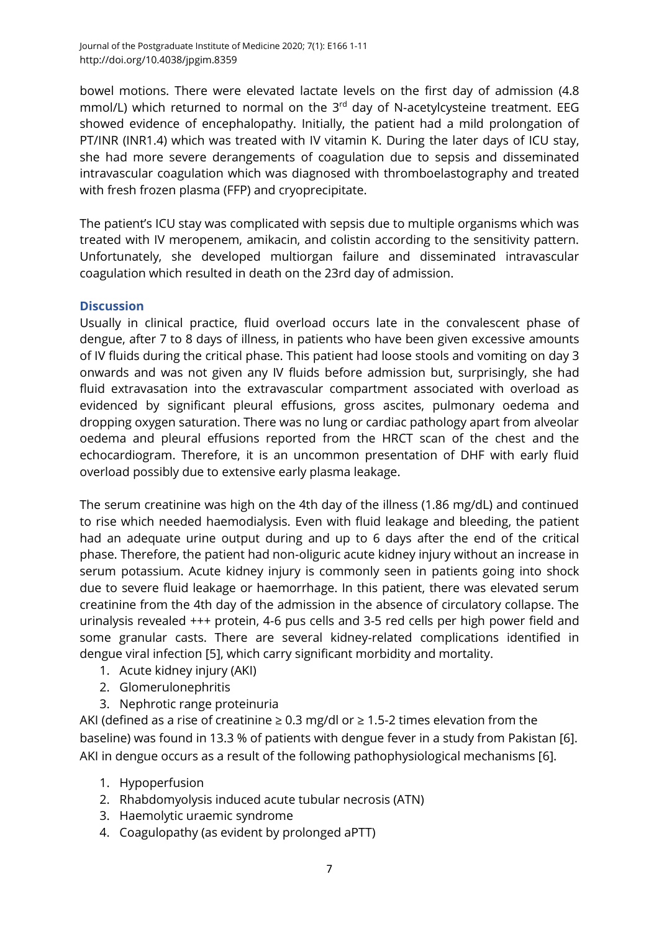bowel motions. There were elevated lactate levels on the first day of admission (4.8 mmol/L) which returned to normal on the 3<sup>rd</sup> day of N-acetylcysteine treatment. EEG showed evidence of encephalopathy. Initially, the patient had a mild prolongation of PT/INR (INR1.4) which was treated with IV vitamin K. During the later days of ICU stay, she had more severe derangements of coagulation due to sepsis and disseminated intravascular coagulation which was diagnosed with thromboelastography and treated with fresh frozen plasma (FFP) and cryoprecipitate.

The patient's ICU stay was complicated with sepsis due to multiple organisms which was treated with IV meropenem, amikacin, and colistin according to the sensitivity pattern. Unfortunately, she developed multiorgan failure and disseminated intravascular coagulation which resulted in death on the 23rd day of admission.

## **Discussion**

Usually in clinical practice, fluid overload occurs late in the convalescent phase of dengue, after 7 to 8 days of illness, in patients who have been given excessive amounts of IV fluids during the critical phase. This patient had loose stools and vomiting on day 3 onwards and was not given any IV fluids before admission but, surprisingly, she had fluid extravasation into the extravascular compartment associated with overload as evidenced by significant pleural effusions, gross ascites, pulmonary oedema and dropping oxygen saturation. There was no lung or cardiac pathology apart from alveolar oedema and pleural effusions reported from the HRCT scan of the chest and the echocardiogram. Therefore, it is an uncommon presentation of DHF with early fluid overload possibly due to extensive early plasma leakage.

The serum creatinine was high on the 4th day of the illness (1.86 mg/dL) and continued to rise which needed haemodialysis. Even with fluid leakage and bleeding, the patient had an adequate urine output during and up to 6 days after the end of the critical phase. Therefore, the patient had non-oliguric acute kidney injury without an increase in serum potassium. Acute kidney injury is commonly seen in patients going into shock due to severe fluid leakage or haemorrhage. In this patient, there was elevated serum creatinine from the 4th day of the admission in the absence of circulatory collapse. The urinalysis revealed +++ protein, 4-6 pus cells and 3-5 red cells per high power field and some granular casts. There are several kidney-related complications identified in dengue viral infection [\[5\]](#page-9-4), which carry significant morbidity and mortality.

- 1. Acute kidney injury (AKI)
- 2. Glomerulonephritis
- 3. Nephrotic range proteinuria

AKI (defined as a rise of creatinine  $\geq 0.3$  mg/dl or  $\geq 1.5$ -2 times elevation from the baseline) was found in 13.3 % of patients with dengue fever in a study from Pakistan [\[6\]](#page-9-5). AKI in dengue occurs as a result of the following pathophysiological mechanisms [\[6\]](#page-9-5).

- 1. Hypoperfusion
- 2. Rhabdomyolysis induced acute tubular necrosis (ATN)
- 3. Haemolytic uraemic syndrome
- 4. Coagulopathy (as evident by prolonged aPTT)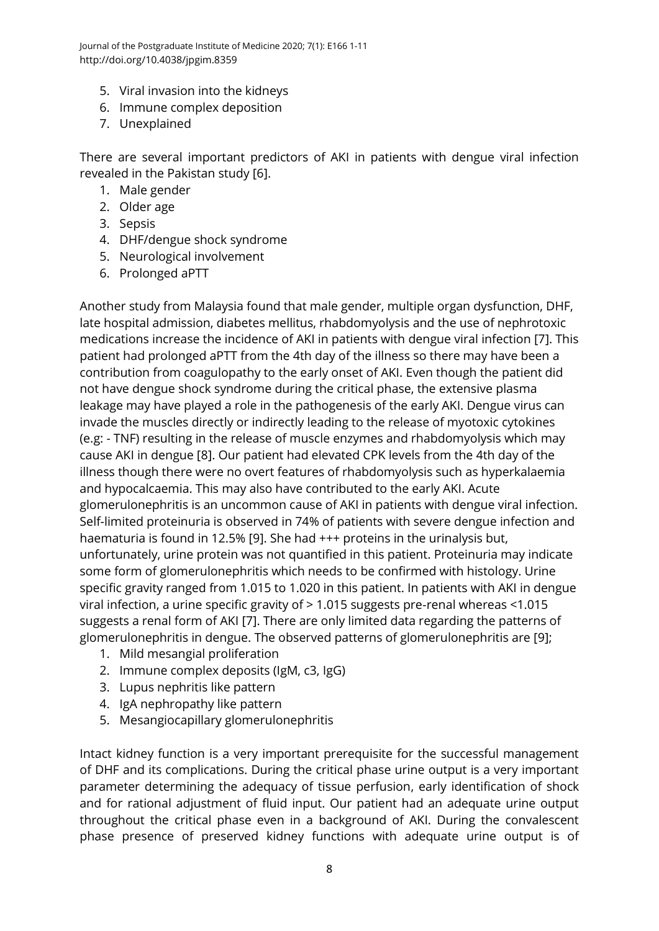Journal of the Postgraduate Institute of Medicine 2020; 7(1): E166 1-11 http://doi.org/10.4038/jpgim.8359

- 5. Viral invasion into the kidneys
- 6. Immune complex deposition
- 7. Unexplained

There are several important predictors of AKI in patients with dengue viral infection revealed in the Pakistan study [\[6\]](#page-9-5).

- 1. Male gender
- 2. Older age
- 3. Sepsis
- 4. DHF/dengue shock syndrome
- 5. Neurological involvement
- 6. Prolonged aPTT

Another study from Malaysia found that male gender, multiple organ dysfunction, DHF, late hospital admission, diabetes mellitus, rhabdomyolysis and the use of nephrotoxic medications increase the incidence of AKI in patients with dengue viral infection [\[7\]](#page-9-6). This patient had prolonged aPTT from the 4th day of the illness so there may have been a contribution from coagulopathy to the early onset of AKI. Even though the patient did not have dengue shock syndrome during the critical phase, the extensive plasma leakage may have played a role in the pathogenesis of the early AKI. Dengue virus can invade the muscles directly or indirectly leading to the release of myotoxic cytokines (e.g: - TNF) resulting in the release of muscle enzymes and rhabdomyolysis which may cause AKI in dengue [\[8\]](#page-9-7). Our patient had elevated CPK levels from the 4th day of the illness though there were no overt features of rhabdomyolysis such as hyperkalaemia and hypocalcaemia. This may also have contributed to the early AKI. Acute glomerulonephritis is an uncommon cause of AKI in patients with dengue viral infection. Self-limited proteinuria is observed in 74% of patients with severe dengue infection and haematuria is found in 12.5% [\[9\]](#page-10-0). She had +++ proteins in the urinalysis but, unfortunately, urine protein was not quantified in this patient. Proteinuria may indicate some form of glomerulonephritis which needs to be confirmed with histology. Urine specific gravity ranged from 1.015 to 1.020 in this patient. In patients with AKI in dengue viral infection, a urine specific gravity of > 1.015 suggests pre-renal whereas <1.015 suggests a renal form of AKI [\[7\]](#page-9-6). There are only limited data regarding the patterns of glomerulonephritis in dengue. The observed patterns of glomerulonephritis are [\[9\]](#page-10-0);

- 1. Mild mesangial proliferation
- 2. Immune complex deposits (IgM, c3, IgG)
- 3. Lupus nephritis like pattern
- 4. IgA nephropathy like pattern
- 5. Mesangiocapillary glomerulonephritis

Intact kidney function is a very important prerequisite for the successful management of DHF and its complications. During the critical phase urine output is a very important parameter determining the adequacy of tissue perfusion, early identification of shock and for rational adjustment of fluid input. Our patient had an adequate urine output throughout the critical phase even in a background of AKI. During the convalescent phase presence of preserved kidney functions with adequate urine output is of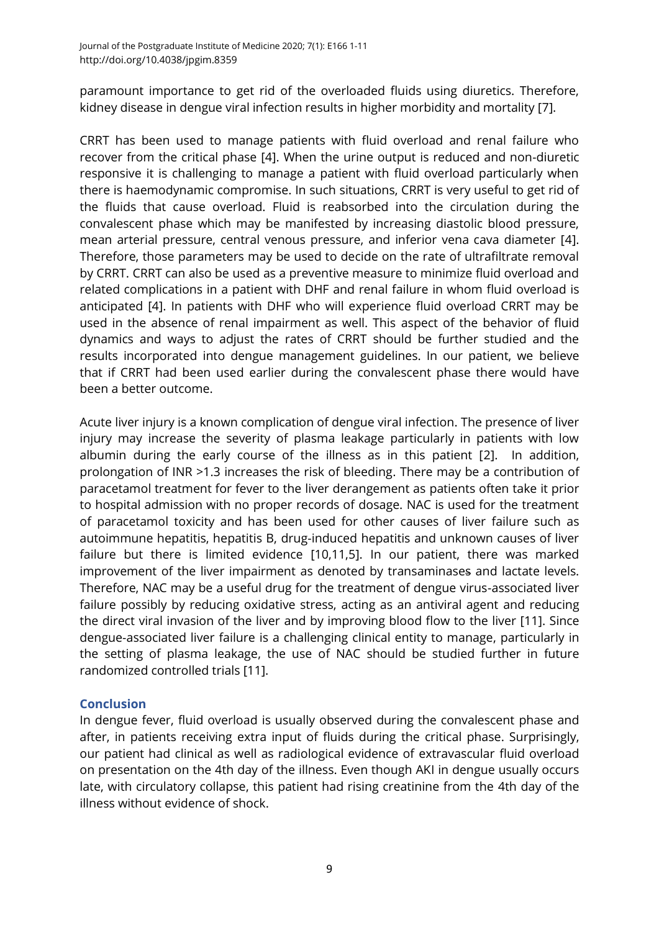paramount importance to get rid of the overloaded fluids using diuretics. Therefore, kidney disease in dengue viral infection results in higher morbidity and mortality [\[7\]](#page-9-6).

CRRT has been used to manage patients with fluid overload and renal failure who recover from the critical phase [\[4\]](#page-9-3). When the urine output is reduced and non-diuretic responsive it is challenging to manage a patient with fluid overload particularly when there is haemodynamic compromise. In such situations, CRRT is very useful to get rid of the fluids that cause overload. Fluid is reabsorbed into the circulation during the convalescent phase which may be manifested by increasing diastolic blood pressure, mean arterial pressure, central venous pressure, and inferior vena cava diameter [\[4\]](#page-9-3). Therefore, those parameters may be used to decide on the rate of ultrafiltrate removal by CRRT. CRRT can also be used as a preventive measure to minimize fluid overload and related complications in a patient with DHF and renal failure in whom fluid overload is anticipated [\[4\]](#page-9-3). In patients with DHF who will experience fluid overload CRRT may be used in the absence of renal impairment as well. This aspect of the behavior of fluid dynamics and ways to adjust the rates of CRRT should be further studied and the results incorporated into dengue management guidelines. In our patient, we believe that if CRRT had been used earlier during the convalescent phase there would have been a better outcome.

Acute liver injury is a known complication of dengue viral infection. The presence of liver injury may increase the severity of plasma leakage particularly in patients with low albumin during the early course of the illness as in this patient [\[2\]](#page-9-1). In addition, prolongation of INR >1.3 increases the risk of bleeding. There may be a contribution of paracetamol treatment for fever to the liver derangement as patients often take it prior to hospital admission with no proper records of dosage. NAC is used for the treatment of paracetamol toxicity and has been used for other causes of liver failure such as autoimmune hepatitis, hepatitis B, drug-induced hepatitis and unknown causes of liver failure but there is limited evidence [\[10](#page-10-1)[,11](#page-10-2)[,5\]](#page-9-4). In our patient, there was marked improvement of the liver impairment as denoted by transaminases and lactate levels. Therefore, NAC may be a useful drug for the treatment of dengue virus-associated liver failure possibly by reducing oxidative stress, acting as an antiviral agent and reducing the direct viral invasion of the liver and by improving blood flow to the liver [\[11\]](#page-10-2). Since dengue-associated liver failure is a challenging clinical entity to manage, particularly in the setting of plasma leakage, the use of NAC should be studied further in future randomized controlled trials [\[11\]](#page-10-2).

## **Conclusion**

In dengue fever, fluid overload is usually observed during the convalescent phase and after, in patients receiving extra input of fluids during the critical phase. Surprisingly, our patient had clinical as well as radiological evidence of extravascular fluid overload on presentation on the 4th day of the illness. Even though AKI in dengue usually occurs late, with circulatory collapse, this patient had rising creatinine from the 4th day of the illness without evidence of shock.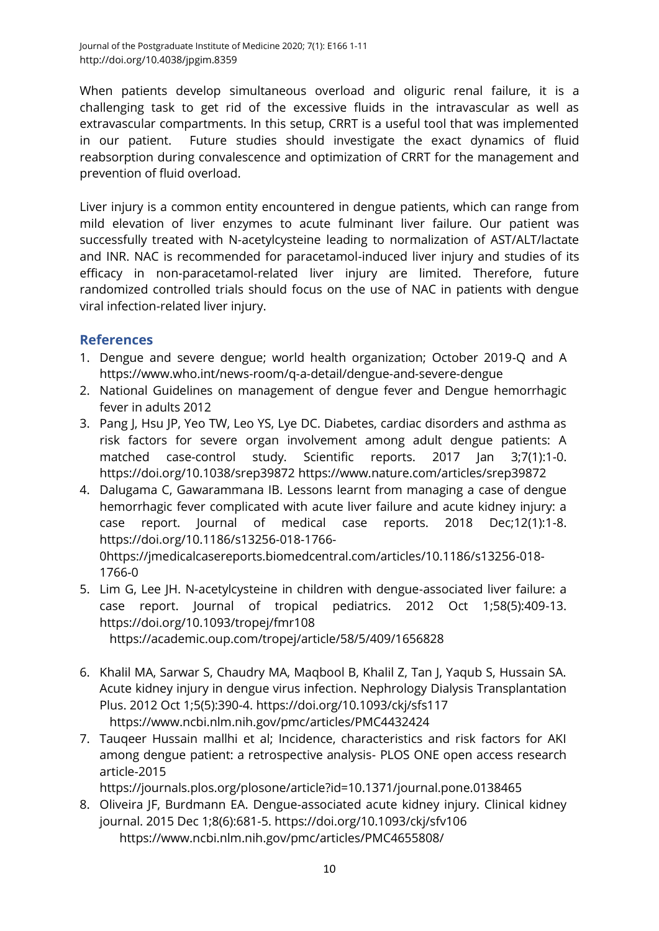When patients develop simultaneous overload and oliguric renal failure, it is a challenging task to get rid of the excessive fluids in the intravascular as well as extravascular compartments. In this setup, CRRT is a useful tool that was implemented in our patient. Future studies should investigate the exact dynamics of fluid reabsorption during convalescence and optimization of CRRT for the management and prevention of fluid overload.

Liver injury is a common entity encountered in dengue patients, which can range from mild elevation of liver enzymes to acute fulminant liver failure. Our patient was successfully treated with N-acetylcysteine leading to normalization of AST/ALT/lactate and INR. NAC is recommended for paracetamol-induced liver injury and studies of its efficacy in non-paracetamol-related liver injury are limited. Therefore, future randomized controlled trials should focus on the use of NAC in patients with dengue viral infection-related liver injury.

# **References**

- <span id="page-9-0"></span>1. Dengue and severe dengue; world health organization; October 2019-Q and A <https://www.who.int/news-room/q-a-detail/dengue-and-severe-dengue>
- <span id="page-9-1"></span>2. National Guidelines on management of dengue fever and Dengue hemorrhagic fever in adults 2012
- <span id="page-9-2"></span>3. Pang J, Hsu JP, Yeo TW, Leo YS, Lye DC. Diabetes, cardiac disorders and asthma as risk factors for severe organ involvement among adult dengue patients: A matched case-control study. Scientific reports. 2017 Jan 3;7(1):1-0. <https://doi.org/10.1038/srep39872> <https://www.nature.com/articles/srep39872>
- <span id="page-9-3"></span>4. Dalugama C, Gawarammana IB. Lessons learnt from managing a case of dengue hemorrhagic fever complicated with acute liver failure and acute kidney injury: a case report. Journal of medical case reports. 2018 Dec;12(1):1-8. [https://doi.org/10.1186/s13256-018-1766-](https://doi.org/10.1186/s13256-018-1766-0) [0](https://doi.org/10.1186/s13256-018-1766-0)[https://jmedicalcasereports.biomedcentral.com/articles/10.1186/s13256-018-](https://jmedicalcasereports.biomedcentral.com/articles/10.1186/s13256-018-1766-0) [1766-0](https://jmedicalcasereports.biomedcentral.com/articles/10.1186/s13256-018-1766-0)
- <span id="page-9-4"></span>5. Lim G, Lee JH. N-acetylcysteine in children with dengue-associated liver failure: a case report. Journal of tropical pediatrics. 2012 Oct 1;58(5):409-13. <https://doi.org/10.1093/tropej/fmr108> <https://academic.oup.com/tropej/article/58/5/409/1656828>
- <span id="page-9-5"></span>6. Khalil MA, Sarwar S, Chaudry MA, Maqbool B, Khalil Z, Tan J, Yaqub S, Hussain SA. Acute kidney injury in dengue virus infection. Nephrology Dialysis Transplantation Plus. 2012 Oct 1;5(5):390-4.<https://doi.org/10.1093/ckj/sfs117> <https://www.ncbi.nlm.nih.gov/pmc/articles/PMC4432424>
- <span id="page-9-6"></span>7. Tauqeer Hussain mallhi et al; Incidence, characteristics and risk factors for AKI among dengue patient: a retrospective analysis- PLOS ONE open access research article-2015

<https://journals.plos.org/plosone/article?id=10.1371/journal.pone.0138465>

<span id="page-9-7"></span>8. Oliveira JF, Burdmann EA. Dengue-associated acute kidney injury. Clinical kidney journal. 2015 Dec 1;8(6):681-5.<https://doi.org/10.1093/ckj/sfv106> <https://www.ncbi.nlm.nih.gov/pmc/articles/PMC4655808/>